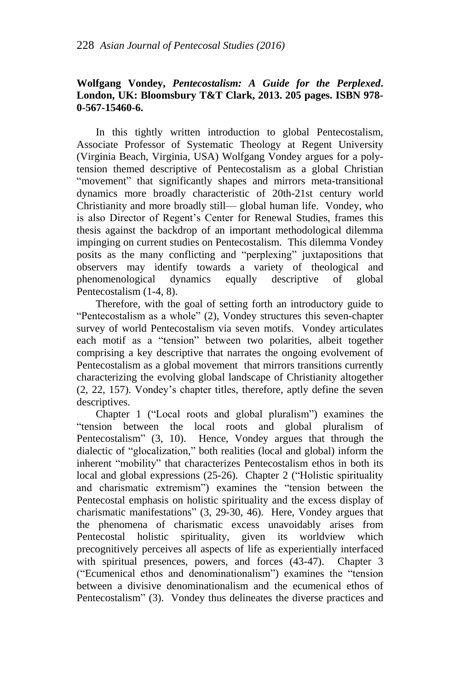## **Wolfgang Vondey,** *Pentecostalism: A Guide for the Perplexed***. London, UK: Bloomsbury T&T Clark, 2013. 205 pages. ISBN 978- 0-567-15460-6.**

In this tightly written introduction to global Pentecostalism, Associate Professor of Systematic Theology at Regent University (Virginia Beach, Virginia, USA) Wolfgang Vondey argues for a polytension themed descriptive of Pentecostalism as a global Christian "movement" that significantly shapes and mirrors meta-transitional dynamics more broadly characteristic of 20th-21st century world Christianity and more broadly still— global human life. Vondey, who is also Director of Regent's Center for Renewal Studies, frames this thesis against the backdrop of an important methodological dilemma impinging on current studies on Pentecostalism. This dilemma Vondey posits as the many conflicting and "perplexing" juxtapositions that observers may identify towards a variety of theological and phenomenological dynamics equally descriptive of global Pentecostalism (1-4, 8).

Therefore, with the goal of setting forth an introductory guide to "Pentecostalism as a whole" (2), Vondey structures this seven-chapter survey of world Pentecostalism via seven motifs. Vondey articulates each motif as a "tension" between two polarities, albeit together comprising a key descriptive that narrates the ongoing evolvement of Pentecostalism as a global movement that mirrors transitions currently characterizing the evolving global landscape of Christianity altogether (2, 22, 157). Vondey's chapter titles, therefore, aptly define the seven descriptives.

Chapter 1 ("Local roots and global pluralism") examines the "tension between the local roots and global pluralism of Pentecostalism" (3, 10). Hence, Vondey argues that through the dialectic of "glocalization," both realities (local and global) inform the inherent "mobility" that characterizes Pentecostalism ethos in both its local and global expressions (25-26). Chapter 2 ("Holistic spirituality and charismatic extremism") examines the "tension between the Pentecostal emphasis on holistic spirituality and the excess display of charismatic manifestations" (3, 29-30, 46). Here, Vondey argues that the phenomena of charismatic excess unavoidably arises from Pentecostal holistic spirituality, given its worldview which precognitively perceives all aspects of life as experientially interfaced with spiritual presences, powers, and forces (43-47). Chapter 3 ("Ecumenical ethos and denominationalism") examines the "tension between a divisive denominationalism and the ecumenical ethos of Pentecostalism" (3). Vondey thus delineates the diverse practices and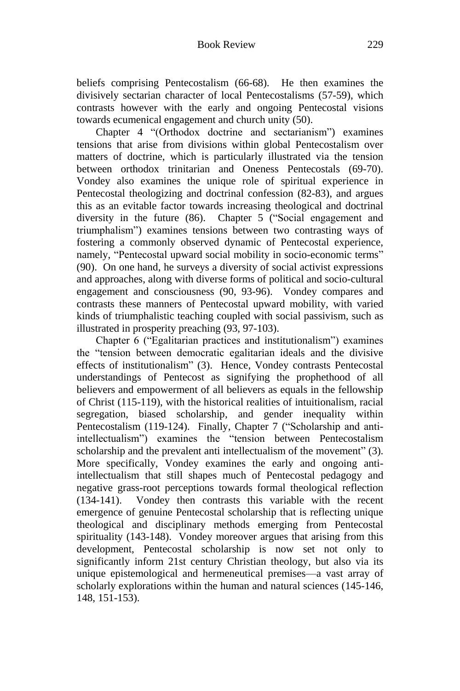beliefs comprising Pentecostalism (66-68). He then examines the divisively sectarian character of local Pentecostalisms (57-59), which contrasts however with the early and ongoing Pentecostal visions towards ecumenical engagement and church unity (50).

Chapter 4 "(Orthodox doctrine and sectarianism") examines tensions that arise from divisions within global Pentecostalism over matters of doctrine, which is particularly illustrated via the tension between orthodox trinitarian and Oneness Pentecostals (69-70). Vondey also examines the unique role of spiritual experience in Pentecostal theologizing and doctrinal confession (82-83), and argues this as an evitable factor towards increasing theological and doctrinal diversity in the future (86). Chapter 5 ("Social engagement and triumphalism") examines tensions between two contrasting ways of fostering a commonly observed dynamic of Pentecostal experience, namely, "Pentecostal upward social mobility in socio-economic terms" (90). On one hand, he surveys a diversity of social activist expressions and approaches, along with diverse forms of political and socio-cultural engagement and consciousness (90, 93-96). Vondey compares and contrasts these manners of Pentecostal upward mobility, with varied kinds of triumphalistic teaching coupled with social passivism, such as illustrated in prosperity preaching (93, 97-103).

Chapter 6 ("Egalitarian practices and institutionalism") examines the "tension between democratic egalitarian ideals and the divisive effects of institutionalism" (3). Hence, Vondey contrasts Pentecostal understandings of Pentecost as signifying the prophethood of all believers and empowerment of all believers as equals in the fellowship of Christ (115-119), with the historical realities of intuitionalism, racial segregation, biased scholarship, and gender inequality within Pentecostalism (119-124). Finally, Chapter 7 ("Scholarship and antiintellectualism") examines the "tension between Pentecostalism scholarship and the prevalent anti intellectualism of the movement" (3). More specifically, Vondey examines the early and ongoing antiintellectualism that still shapes much of Pentecostal pedagogy and negative grass-root perceptions towards formal theological reflection (134-141). Vondey then contrasts this variable with the recent emergence of genuine Pentecostal scholarship that is reflecting unique theological and disciplinary methods emerging from Pentecostal spirituality (143-148). Vondey moreover argues that arising from this development, Pentecostal scholarship is now set not only to significantly inform 21st century Christian theology, but also via its unique epistemological and hermeneutical premises—a vast array of scholarly explorations within the human and natural sciences (145-146, 148, 151-153).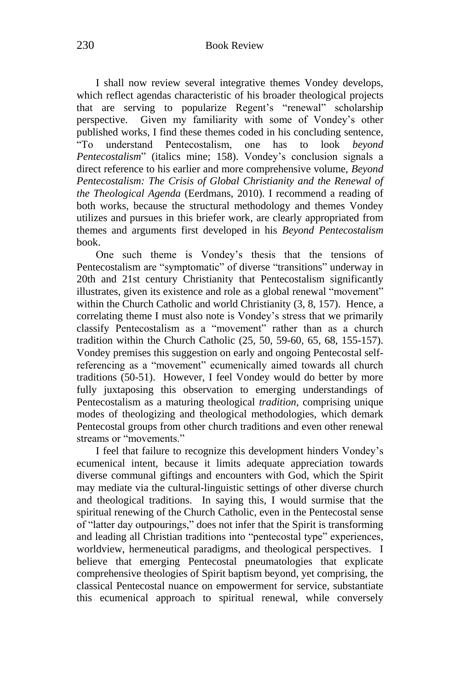I shall now review several integrative themes Vondey develops, which reflect agendas characteristic of his broader theological projects that are serving to popularize Regent's "renewal" scholarship perspective. Given my familiarity with some of Vondey's other published works, I find these themes coded in his concluding sentence, "To understand Pentecostalism, one has to look *beyond Pentecostalism*" (italics mine; 158). Vondey's conclusion signals a direct reference to his earlier and more comprehensive volume, *Beyond Pentecostalism: The Crisis of Global Christianity and the Renewal of the Theological Agenda* (Eerdmans, 2010). I recommend a reading of both works, because the structural methodology and themes Vondey utilizes and pursues in this briefer work, are clearly appropriated from themes and arguments first developed in his *Beyond Pentecostalism* book.

One such theme is Vondey's thesis that the tensions of Pentecostalism are "symptomatic" of diverse "transitions" underway in 20th and 21st century Christianity that Pentecostalism significantly illustrates, given its existence and role as a global renewal "movement" within the Church Catholic and world Christianity (3, 8, 157). Hence, a correlating theme I must also note is Vondey's stress that we primarily classify Pentecostalism as a "movement" rather than as a church tradition within the Church Catholic (25, 50, 59-60, 65, 68, 155-157). Vondey premises this suggestion on early and ongoing Pentecostal selfreferencing as a "movement" ecumenically aimed towards all church traditions (50-51). However, I feel Vondey would do better by more fully juxtaposing this observation to emerging understandings of Pentecostalism as a maturing theological *tradition*, comprising unique modes of theologizing and theological methodologies, which demark Pentecostal groups from other church traditions and even other renewal streams or "movements."

I feel that failure to recognize this development hinders Vondey's ecumenical intent, because it limits adequate appreciation towards diverse communal giftings and encounters with God, which the Spirit may mediate via the cultural-linguistic settings of other diverse church and theological traditions. In saying this, I would surmise that the spiritual renewing of the Church Catholic, even in the Pentecostal sense of "latter day outpourings," does not infer that the Spirit is transforming and leading all Christian traditions into "pentecostal type" experiences, worldview, hermeneutical paradigms, and theological perspectives. I believe that emerging Pentecostal pneumatologies that explicate comprehensive theologies of Spirit baptism beyond, yet comprising, the classical Pentecostal nuance on empowerment for service, substantiate this ecumenical approach to spiritual renewal, while conversely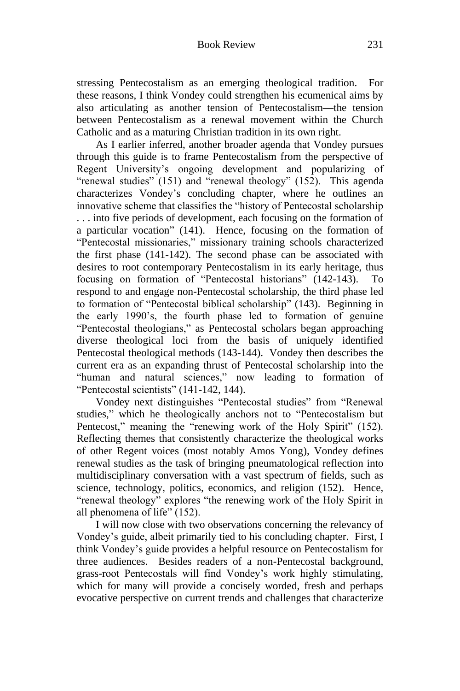stressing Pentecostalism as an emerging theological tradition. For these reasons, I think Vondey could strengthen his ecumenical aims by also articulating as another tension of Pentecostalism—the tension between Pentecostalism as a renewal movement within the Church Catholic and as a maturing Christian tradition in its own right.

As I earlier inferred, another broader agenda that Vondey pursues through this guide is to frame Pentecostalism from the perspective of Regent University's ongoing development and popularizing of "renewal studies" (151) and "renewal theology" (152). This agenda characterizes Vondey's concluding chapter, where he outlines an innovative scheme that classifies the "history of Pentecostal scholarship . . . into five periods of development, each focusing on the formation of a particular vocation" (141). Hence, focusing on the formation of "Pentecostal missionaries," missionary training schools characterized the first phase (141-142). The second phase can be associated with desires to root contemporary Pentecostalism in its early heritage, thus focusing on formation of "Pentecostal historians" (142-143). To respond to and engage non-Pentecostal scholarship, the third phase led to formation of "Pentecostal biblical scholarship" (143). Beginning in the early 1990's, the fourth phase led to formation of genuine "Pentecostal theologians," as Pentecostal scholars began approaching diverse theological loci from the basis of uniquely identified Pentecostal theological methods (143-144). Vondey then describes the current era as an expanding thrust of Pentecostal scholarship into the "human and natural sciences," now leading to formation of "Pentecostal scientists" (141-142, 144).

Vondey next distinguishes "Pentecostal studies" from "Renewal studies," which he theologically anchors not to "Pentecostalism but Pentecost," meaning the "renewing work of the Holy Spirit" (152). Reflecting themes that consistently characterize the theological works of other Regent voices (most notably Amos Yong), Vondey defines renewal studies as the task of bringing pneumatological reflection into multidisciplinary conversation with a vast spectrum of fields, such as science, technology, politics, economics, and religion (152). Hence, "renewal theology" explores "the renewing work of the Holy Spirit in all phenomena of life" (152).

I will now close with two observations concerning the relevancy of Vondey's guide, albeit primarily tied to his concluding chapter. First, I think Vondey's guide provides a helpful resource on Pentecostalism for three audiences. Besides readers of a non-Pentecostal background, grass-root Pentecostals will find Vondey's work highly stimulating, which for many will provide a concisely worded, fresh and perhaps evocative perspective on current trends and challenges that characterize